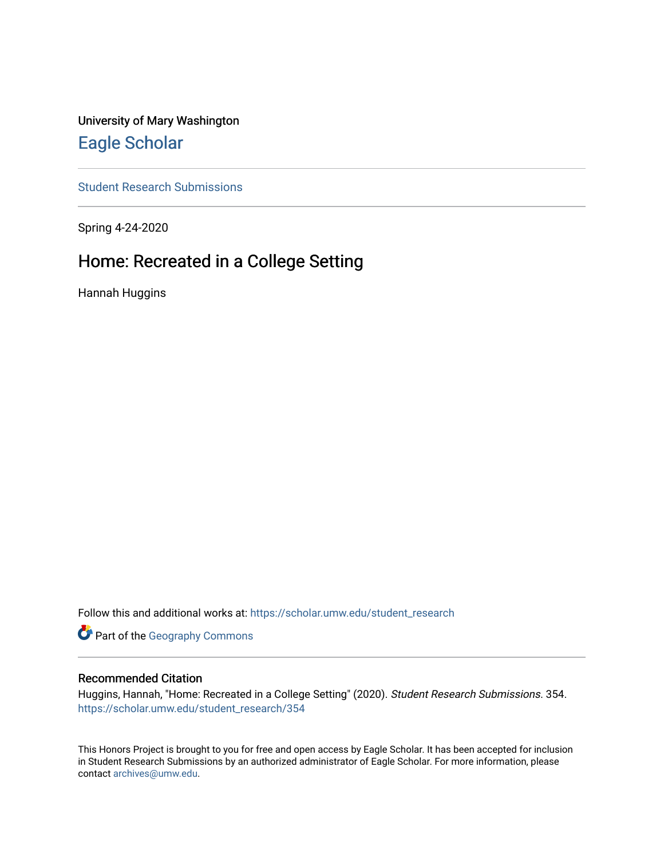University of Mary Washington [Eagle Scholar](https://scholar.umw.edu/) 

[Student Research Submissions](https://scholar.umw.edu/student_research) 

Spring 4-24-2020

# Home: Recreated in a College Setting

Hannah Huggins

Follow this and additional works at: [https://scholar.umw.edu/student\\_research](https://scholar.umw.edu/student_research?utm_source=scholar.umw.edu%2Fstudent_research%2F354&utm_medium=PDF&utm_campaign=PDFCoverPages)

Part of the [Geography Commons](http://network.bepress.com/hgg/discipline/354?utm_source=scholar.umw.edu%2Fstudent_research%2F354&utm_medium=PDF&utm_campaign=PDFCoverPages) 

# Recommended Citation

Huggins, Hannah, "Home: Recreated in a College Setting" (2020). Student Research Submissions. 354. [https://scholar.umw.edu/student\\_research/354](https://scholar.umw.edu/student_research/354?utm_source=scholar.umw.edu%2Fstudent_research%2F354&utm_medium=PDF&utm_campaign=PDFCoverPages)

This Honors Project is brought to you for free and open access by Eagle Scholar. It has been accepted for inclusion in Student Research Submissions by an authorized administrator of Eagle Scholar. For more information, please contact [archives@umw.edu](mailto:archives@umw.edu).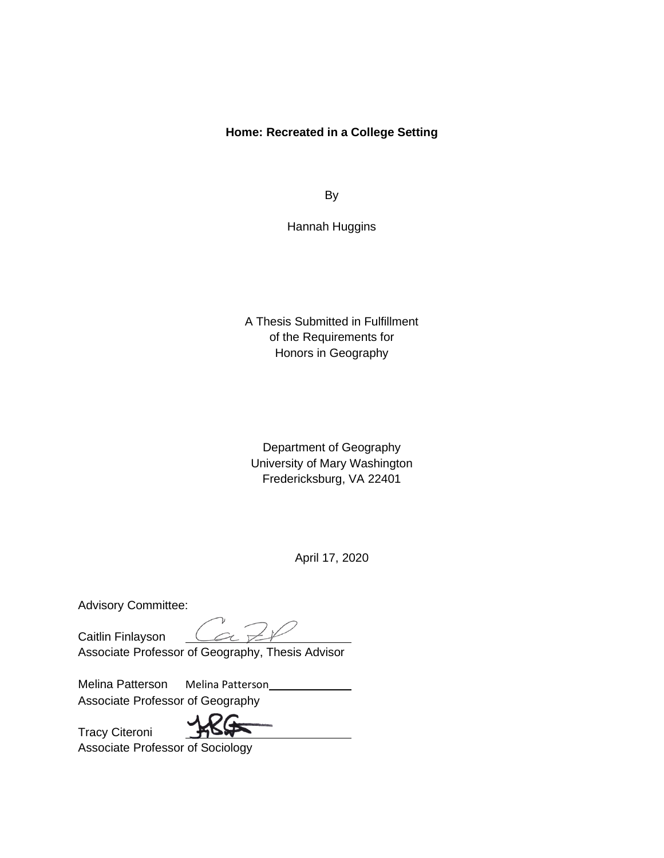# **Home: Recreated in a College Setting**

By

Hannah Huggins

A Thesis Submitted in Fulfillment of the Requirements for Honors in Geography

Department of Geography University of Mary Washington Fredericksburg, VA 22401

April 17, 2020

Advisory Committee:

Tracy Citeroni

Caitlin Finlayson

Associate Professor of Geography, Thesis Advisor

Melina Patterson Melina Patterson Associate Professor of Geography

Associate Professor of Sociology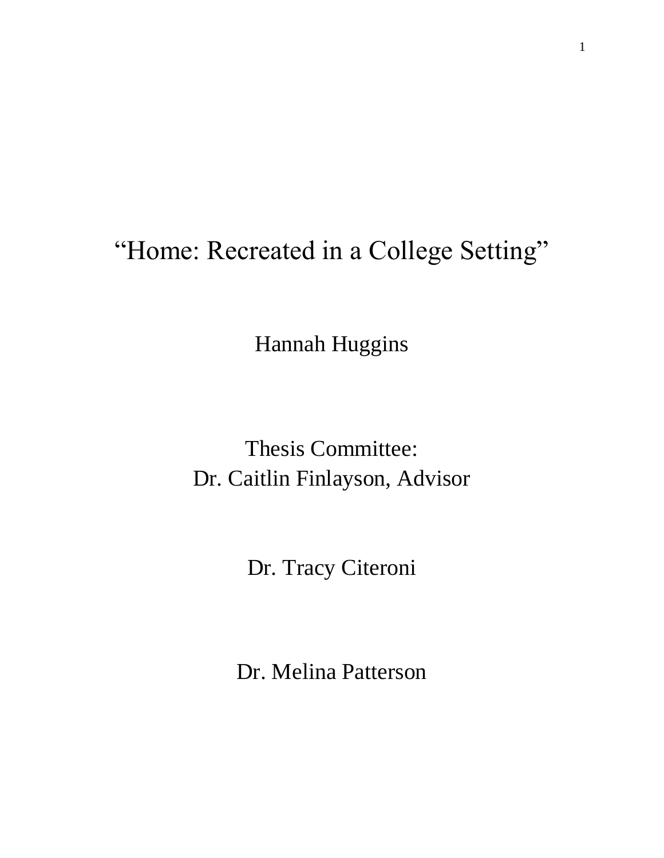# "Home: Recreated in a College Setting"

Hannah Huggins

Thesis Committee: Dr. Caitlin Finlayson, Advisor

Dr. Tracy Citeroni

Dr. Melina Patterson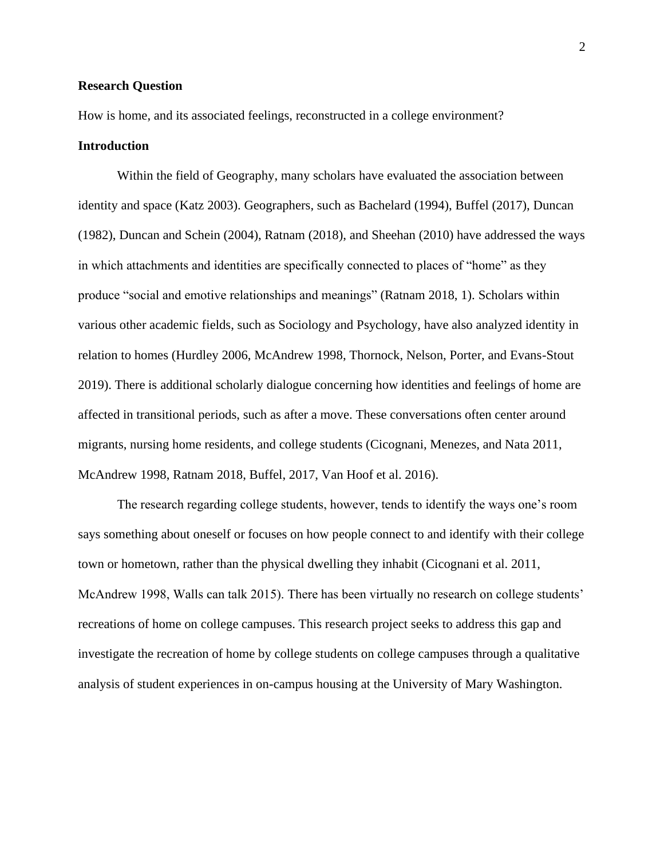#### **Research Question**

How is home, and its associated feelings, reconstructed in a college environment?

#### **Introduction**

Within the field of Geography, many scholars have evaluated the association between identity and space (Katz 2003). Geographers, such as Bachelard (1994), Buffel (2017), Duncan (1982), Duncan and Schein (2004), Ratnam (2018), and Sheehan (2010) have addressed the ways in which attachments and identities are specifically connected to places of "home" as they produce "social and emotive relationships and meanings" (Ratnam 2018, 1). Scholars within various other academic fields, such as Sociology and Psychology, have also analyzed identity in relation to homes (Hurdley 2006, McAndrew 1998, Thornock, Nelson, Porter, and Evans-Stout 2019). There is additional scholarly dialogue concerning how identities and feelings of home are affected in transitional periods, such as after a move. These conversations often center around migrants, nursing home residents, and college students (Cicognani, Menezes, and Nata 2011, McAndrew 1998, Ratnam 2018, Buffel, 2017, Van Hoof et al. 2016).

The research regarding college students, however, tends to identify the ways one's room says something about oneself or focuses on how people connect to and identify with their college town or hometown, rather than the physical dwelling they inhabit (Cicognani et al. 2011, McAndrew 1998, Walls can talk 2015). There has been virtually no research on college students' recreations of home on college campuses. This research project seeks to address this gap and investigate the recreation of home by college students on college campuses through a qualitative analysis of student experiences in on-campus housing at the University of Mary Washington.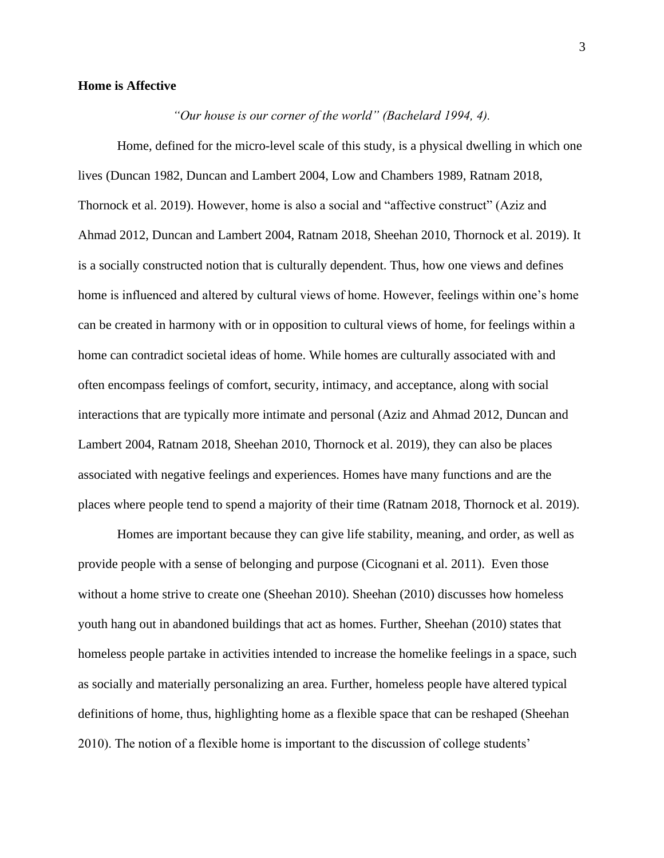### **Home is Affective**

*"Our house is our corner of the world" (Bachelard 1994, 4).* 

Home, defined for the micro-level scale of this study, is a physical dwelling in which one lives (Duncan 1982, Duncan and Lambert 2004, Low and Chambers 1989, Ratnam 2018, Thornock et al. 2019). However, home is also a social and "affective construct" (Aziz and Ahmad 2012, Duncan and Lambert 2004, Ratnam 2018, Sheehan 2010, Thornock et al. 2019). It is a socially constructed notion that is culturally dependent. Thus, how one views and defines home is influenced and altered by cultural views of home. However, feelings within one's home can be created in harmony with or in opposition to cultural views of home, for feelings within a home can contradict societal ideas of home. While homes are culturally associated with and often encompass feelings of comfort, security, intimacy, and acceptance, along with social interactions that are typically more intimate and personal (Aziz and Ahmad 2012, Duncan and Lambert 2004, Ratnam 2018, Sheehan 2010, Thornock et al. 2019), they can also be places associated with negative feelings and experiences. Homes have many functions and are the places where people tend to spend a majority of their time (Ratnam 2018, Thornock et al. 2019).

Homes are important because they can give life stability, meaning, and order, as well as provide people with a sense of belonging and purpose (Cicognani et al. 2011). Even those without a home strive to create one (Sheehan 2010). Sheehan (2010) discusses how homeless youth hang out in abandoned buildings that act as homes. Further, Sheehan (2010) states that homeless people partake in activities intended to increase the homelike feelings in a space, such as socially and materially personalizing an area. Further, homeless people have altered typical definitions of home, thus, highlighting home as a flexible space that can be reshaped (Sheehan 2010). The notion of a flexible home is important to the discussion of college students'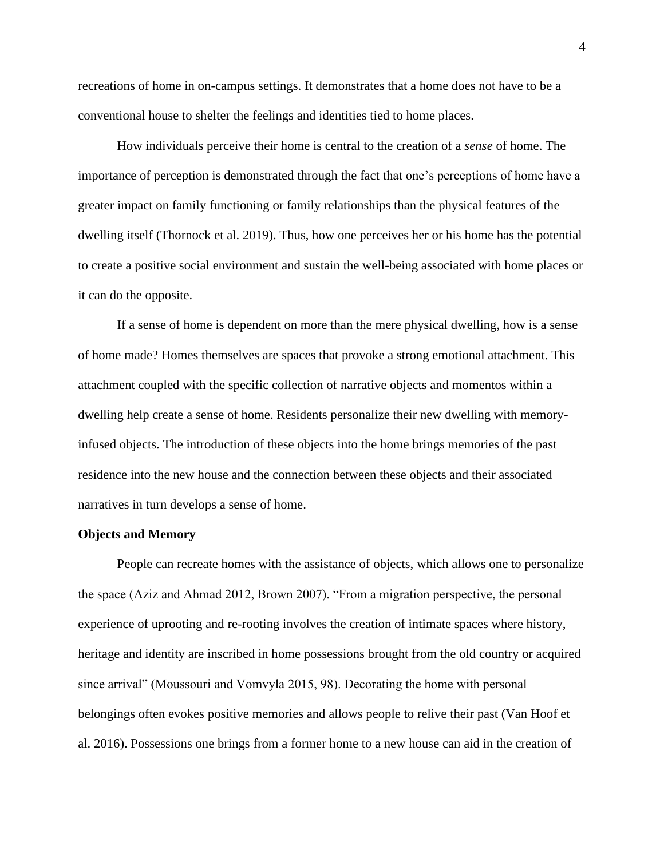recreations of home in on-campus settings. It demonstrates that a home does not have to be a conventional house to shelter the feelings and identities tied to home places.

How individuals perceive their home is central to the creation of a *sense* of home. The importance of perception is demonstrated through the fact that one's perceptions of home have a greater impact on family functioning or family relationships than the physical features of the dwelling itself (Thornock et al. 2019). Thus, how one perceives her or his home has the potential to create a positive social environment and sustain the well-being associated with home places or it can do the opposite.

If a sense of home is dependent on more than the mere physical dwelling, how is a sense of home made? Homes themselves are spaces that provoke a strong emotional attachment. This attachment coupled with the specific collection of narrative objects and momentos within a dwelling help create a sense of home. Residents personalize their new dwelling with memoryinfused objects. The introduction of these objects into the home brings memories of the past residence into the new house and the connection between these objects and their associated narratives in turn develops a sense of home.

#### **Objects and Memory**

People can recreate homes with the assistance of objects, which allows one to personalize the space (Aziz and Ahmad 2012, Brown 2007). "From a migration perspective, the personal experience of uprooting and re-rooting involves the creation of intimate spaces where history, heritage and identity are inscribed in home possessions brought from the old country or acquired since arrival" (Moussouri and Vomvyla 2015, 98). Decorating the home with personal belongings often evokes positive memories and allows people to relive their past (Van Hoof et al. 2016). Possessions one brings from a former home to a new house can aid in the creation of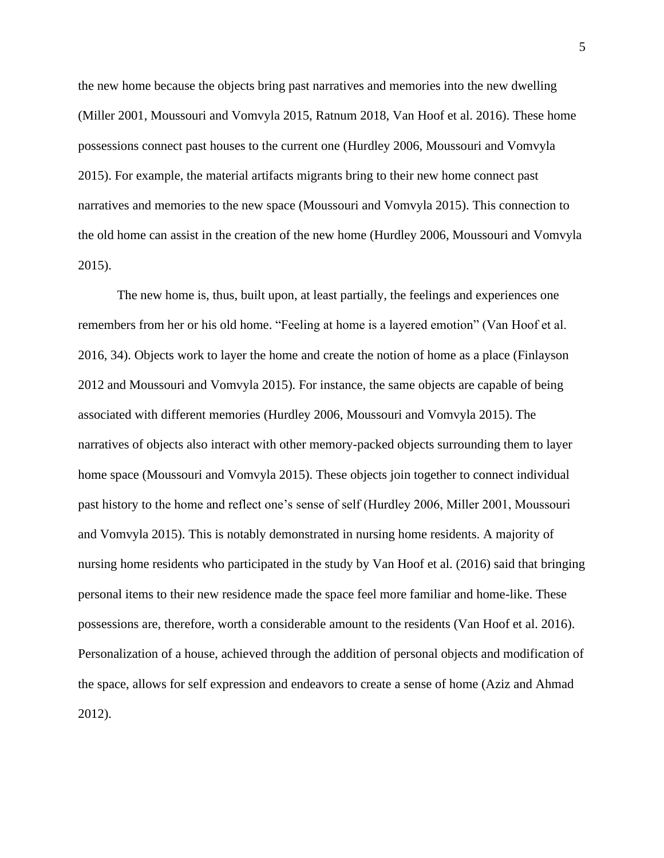the new home because the objects bring past narratives and memories into the new dwelling (Miller 2001, Moussouri and Vomvyla 2015, Ratnum 2018, Van Hoof et al. 2016). These home possessions connect past houses to the current one (Hurdley 2006, Moussouri and Vomvyla 2015). For example, the material artifacts migrants bring to their new home connect past narratives and memories to the new space (Moussouri and Vomvyla 2015). This connection to the old home can assist in the creation of the new home (Hurdley 2006, Moussouri and Vomvyla 2015).

The new home is, thus, built upon, at least partially, the feelings and experiences one remembers from her or his old home. "Feeling at home is a layered emotion" (Van Hoof et al. 2016, 34). Objects work to layer the home and create the notion of home as a place (Finlayson 2012 and Moussouri and Vomvyla 2015). For instance, the same objects are capable of being associated with different memories (Hurdley 2006, Moussouri and Vomvyla 2015). The narratives of objects also interact with other memory-packed objects surrounding them to layer home space (Moussouri and Vomvyla 2015). These objects join together to connect individual past history to the home and reflect one's sense of self (Hurdley 2006, Miller 2001, Moussouri and Vomvyla 2015). This is notably demonstrated in nursing home residents. A majority of nursing home residents who participated in the study by Van Hoof et al. (2016) said that bringing personal items to their new residence made the space feel more familiar and home-like. These possessions are, therefore, worth a considerable amount to the residents (Van Hoof et al. 2016). Personalization of a house, achieved through the addition of personal objects and modification of the space, allows for self expression and endeavors to create a sense of home (Aziz and Ahmad 2012).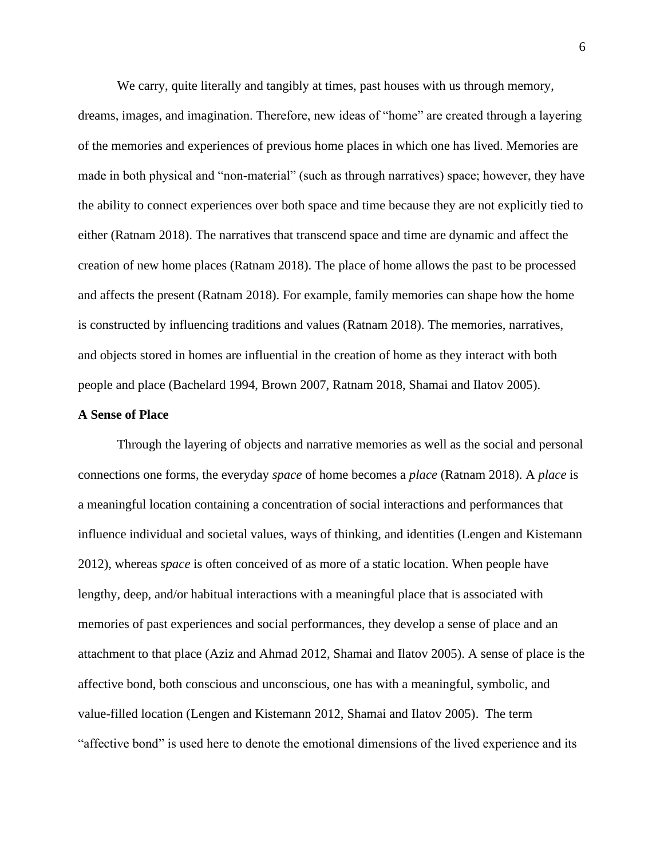We carry, quite literally and tangibly at times, past houses with us through memory,

dreams, images, and imagination. Therefore, new ideas of "home" are created through a layering of the memories and experiences of previous home places in which one has lived. Memories are made in both physical and "non-material" (such as through narratives) space; however, they have the ability to connect experiences over both space and time because they are not explicitly tied to either (Ratnam 2018). The narratives that transcend space and time are dynamic and affect the creation of new home places (Ratnam 2018). The place of home allows the past to be processed and affects the present (Ratnam 2018). For example, family memories can shape how the home is constructed by influencing traditions and values (Ratnam 2018). The memories, narratives, and objects stored in homes are influential in the creation of home as they interact with both people and place (Bachelard 1994, Brown 2007, Ratnam 2018, Shamai and Ilatov 2005).

#### **A Sense of Place**

Through the layering of objects and narrative memories as well as the social and personal connections one forms, the everyday *space* of home becomes a *place* (Ratnam 2018). A *place* is a meaningful location containing a concentration of social interactions and performances that influence individual and societal values, ways of thinking, and identities (Lengen and Kistemann 2012), whereas *space* is often conceived of as more of a static location. When people have lengthy, deep, and/or habitual interactions with a meaningful place that is associated with memories of past experiences and social performances, they develop a sense of place and an attachment to that place (Aziz and Ahmad 2012, Shamai and Ilatov 2005). A sense of place is the affective bond, both conscious and unconscious, one has with a meaningful, symbolic, and value-filled location (Lengen and Kistemann 2012, Shamai and Ilatov 2005). The term "affective bond" is used here to denote the emotional dimensions of the lived experience and its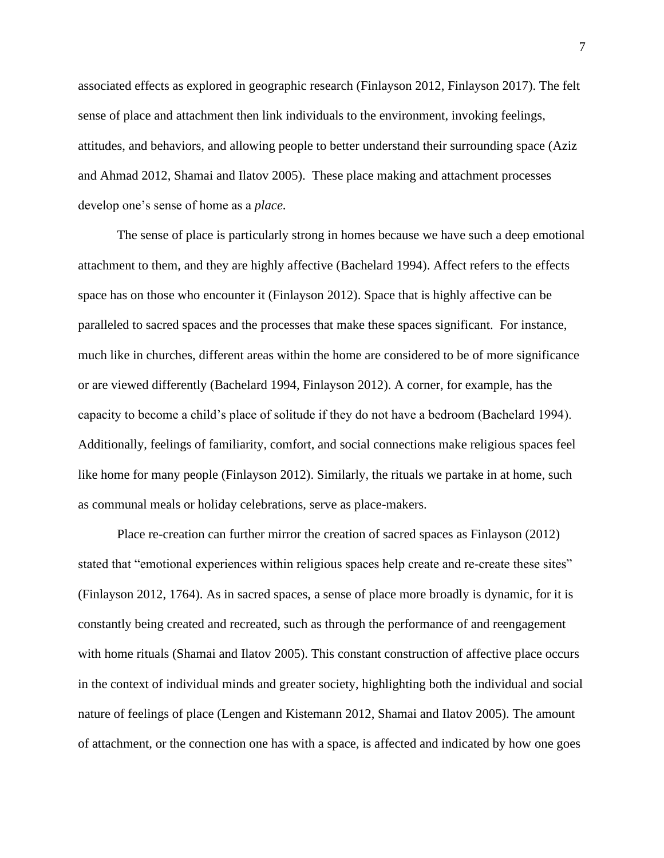associated effects as explored in geographic research (Finlayson 2012, Finlayson 2017). The felt sense of place and attachment then link individuals to the environment, invoking feelings, attitudes, and behaviors, and allowing people to better understand their surrounding space (Aziz and Ahmad 2012, Shamai and Ilatov 2005). These place making and attachment processes develop one's sense of home as a *place*.

The sense of place is particularly strong in homes because we have such a deep emotional attachment to them, and they are highly affective (Bachelard 1994). Affect refers to the effects space has on those who encounter it (Finlayson 2012). Space that is highly affective can be paralleled to sacred spaces and the processes that make these spaces significant. For instance, much like in churches, different areas within the home are considered to be of more significance or are viewed differently (Bachelard 1994, Finlayson 2012). A corner, for example, has the capacity to become a child's place of solitude if they do not have a bedroom (Bachelard 1994). Additionally, feelings of familiarity, comfort, and social connections make religious spaces feel like home for many people (Finlayson 2012). Similarly, the rituals we partake in at home, such as communal meals or holiday celebrations, serve as place-makers.

Place re-creation can further mirror the creation of sacred spaces as Finlayson (2012) stated that "emotional experiences within religious spaces help create and re-create these sites" (Finlayson 2012, 1764). As in sacred spaces, a sense of place more broadly is dynamic, for it is constantly being created and recreated, such as through the performance of and reengagement with home rituals (Shamai and Ilatov 2005). This constant construction of affective place occurs in the context of individual minds and greater society, highlighting both the individual and social nature of feelings of place (Lengen and Kistemann 2012, Shamai and Ilatov 2005). The amount of attachment, or the connection one has with a space, is affected and indicated by how one goes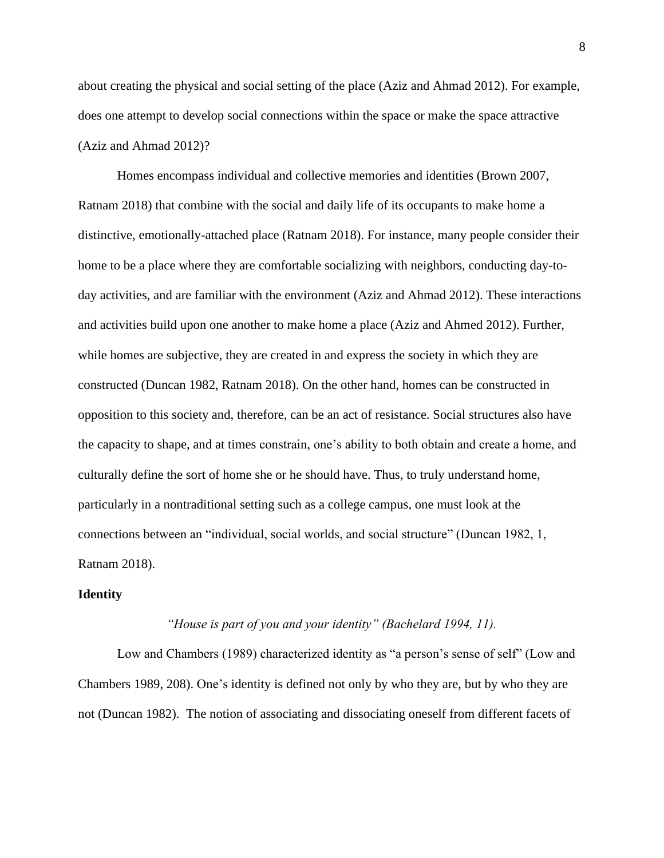about creating the physical and social setting of the place (Aziz and Ahmad 2012). For example, does one attempt to develop social connections within the space or make the space attractive (Aziz and Ahmad 2012)?

Homes encompass individual and collective memories and identities (Brown 2007, Ratnam 2018) that combine with the social and daily life of its occupants to make home a distinctive, emotionally-attached place (Ratnam 2018). For instance, many people consider their home to be a place where they are comfortable socializing with neighbors, conducting day-today activities, and are familiar with the environment (Aziz and Ahmad 2012). These interactions and activities build upon one another to make home a place (Aziz and Ahmed 2012). Further, while homes are subjective, they are created in and express the society in which they are constructed (Duncan 1982, Ratnam 2018). On the other hand, homes can be constructed in opposition to this society and, therefore, can be an act of resistance. Social structures also have the capacity to shape, and at times constrain, one's ability to both obtain and create a home, and culturally define the sort of home she or he should have. Thus, to truly understand home, particularly in a nontraditional setting such as a college campus, one must look at the connections between an "individual, social worlds, and social structure" (Duncan 1982, 1, Ratnam 2018).

### **Identity**

### *"House is part of you and your identity" (Bachelard 1994, 11).*

Low and Chambers (1989) characterized identity as "a person's sense of self" (Low and Chambers 1989, 208). One's identity is defined not only by who they are, but by who they are not (Duncan 1982). The notion of associating and dissociating oneself from different facets of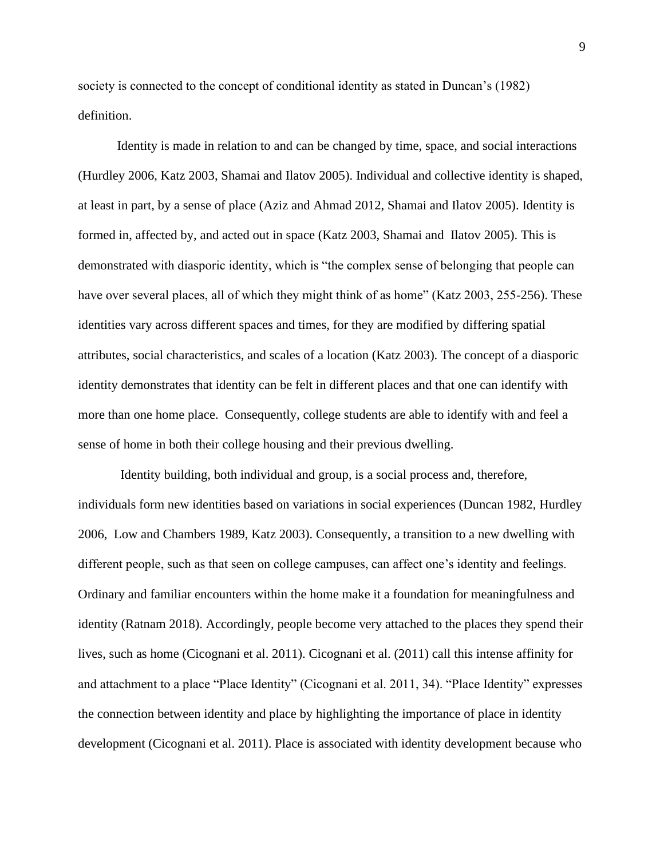society is connected to the concept of conditional identity as stated in Duncan's (1982) definition.

Identity is made in relation to and can be changed by time, space, and social interactions (Hurdley 2006, Katz 2003, Shamai and Ilatov 2005). Individual and collective identity is shaped, at least in part, by a sense of place (Aziz and Ahmad 2012, Shamai and Ilatov 2005). Identity is formed in, affected by, and acted out in space (Katz 2003, Shamai and Ilatov 2005). This is demonstrated with diasporic identity, which is "the complex sense of belonging that people can have over several places, all of which they might think of as home" (Katz 2003, 255-256). These identities vary across different spaces and times, for they are modified by differing spatial attributes, social characteristics, and scales of a location (Katz 2003). The concept of a diasporic identity demonstrates that identity can be felt in different places and that one can identify with more than one home place. Consequently, college students are able to identify with and feel a sense of home in both their college housing and their previous dwelling.

Identity building, both individual and group, is a social process and, therefore, individuals form new identities based on variations in social experiences (Duncan 1982, Hurdley 2006, Low and Chambers 1989, Katz 2003). Consequently, a transition to a new dwelling with different people, such as that seen on college campuses, can affect one's identity and feelings. Ordinary and familiar encounters within the home make it a foundation for meaningfulness and identity (Ratnam 2018). Accordingly, people become very attached to the places they spend their lives, such as home (Cicognani et al. 2011). Cicognani et al. (2011) call this intense affinity for and attachment to a place "Place Identity" (Cicognani et al. 2011, 34). "Place Identity" expresses the connection between identity and place by highlighting the importance of place in identity development (Cicognani et al. 2011). Place is associated with identity development because who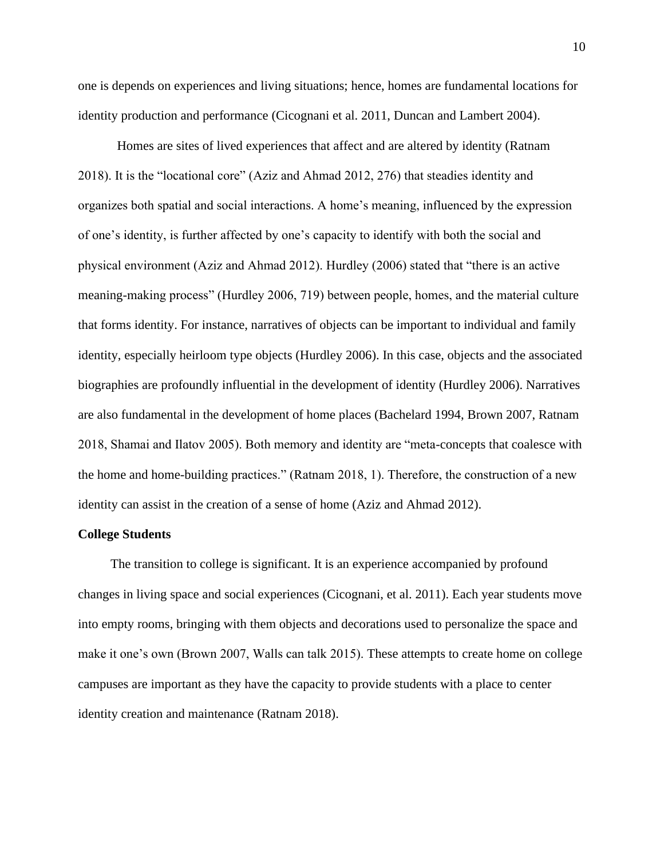one is depends on experiences and living situations; hence, homes are fundamental locations for identity production and performance (Cicognani et al. 2011, Duncan and Lambert 2004).

Homes are sites of lived experiences that affect and are altered by identity (Ratnam 2018). It is the "locational core" (Aziz and Ahmad 2012, 276) that steadies identity and organizes both spatial and social interactions. A home's meaning, influenced by the expression of one's identity, is further affected by one's capacity to identify with both the social and physical environment (Aziz and Ahmad 2012). Hurdley (2006) stated that "there is an active meaning-making process" (Hurdley 2006, 719) between people, homes, and the material culture that forms identity. For instance, narratives of objects can be important to individual and family identity, especially heirloom type objects (Hurdley 2006). In this case, objects and the associated biographies are profoundly influential in the development of identity (Hurdley 2006). Narratives are also fundamental in the development of home places (Bachelard 1994, Brown 2007, Ratnam 2018, Shamai and Ilatov 2005). Both memory and identity are "meta-concepts that coalesce with the home and home-building practices." (Ratnam 2018, 1). Therefore, the construction of a new identity can assist in the creation of a sense of home (Aziz and Ahmad 2012).

#### **College Students**

 The transition to college is significant. It is an experience accompanied by profound changes in living space and social experiences (Cicognani, et al. 2011). Each year students move into empty rooms, bringing with them objects and decorations used to personalize the space and make it one's own (Brown 2007, Walls can talk 2015). These attempts to create home on college campuses are important as they have the capacity to provide students with a place to center identity creation and maintenance (Ratnam 2018).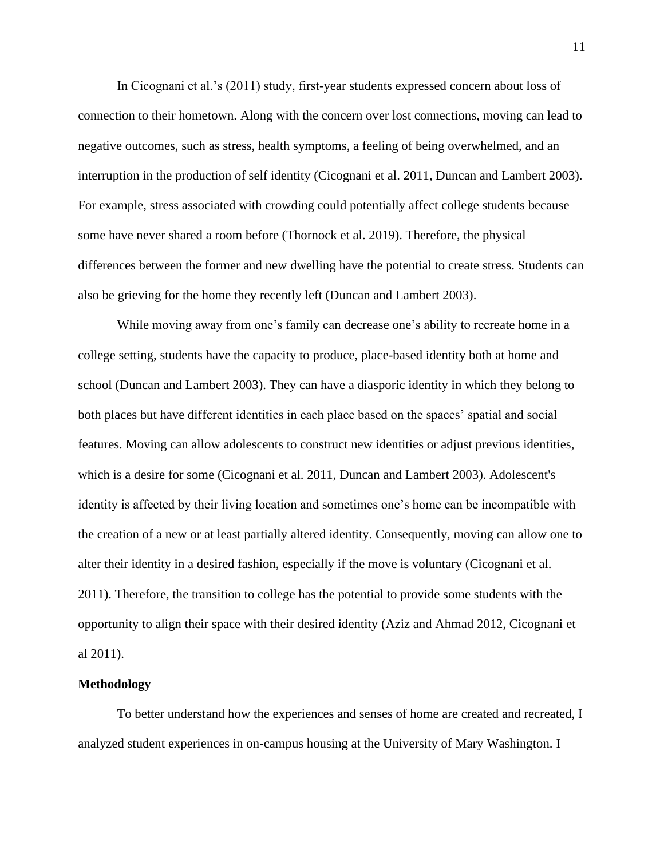In Cicognani et al.'s (2011) study, first-year students expressed concern about loss of connection to their hometown. Along with the concern over lost connections, moving can lead to negative outcomes, such as stress, health symptoms, a feeling of being overwhelmed, and an interruption in the production of self identity (Cicognani et al. 2011, Duncan and Lambert 2003). For example, stress associated with crowding could potentially affect college students because some have never shared a room before (Thornock et al. 2019). Therefore, the physical differences between the former and new dwelling have the potential to create stress. Students can also be grieving for the home they recently left (Duncan and Lambert 2003).

While moving away from one's family can decrease one's ability to recreate home in a college setting, students have the capacity to produce, place-based identity both at home and school (Duncan and Lambert 2003). They can have a diasporic identity in which they belong to both places but have different identities in each place based on the spaces' spatial and social features. Moving can allow adolescents to construct new identities or adjust previous identities, which is a desire for some (Cicognani et al. 2011, Duncan and Lambert 2003). Adolescent's identity is affected by their living location and sometimes one's home can be incompatible with the creation of a new or at least partially altered identity. Consequently, moving can allow one to alter their identity in a desired fashion, especially if the move is voluntary (Cicognani et al. 2011). Therefore, the transition to college has the potential to provide some students with the opportunity to align their space with their desired identity (Aziz and Ahmad 2012, Cicognani et al 2011).

#### **Methodology**

To better understand how the experiences and senses of home are created and recreated, I analyzed student experiences in on-campus housing at the University of Mary Washington. I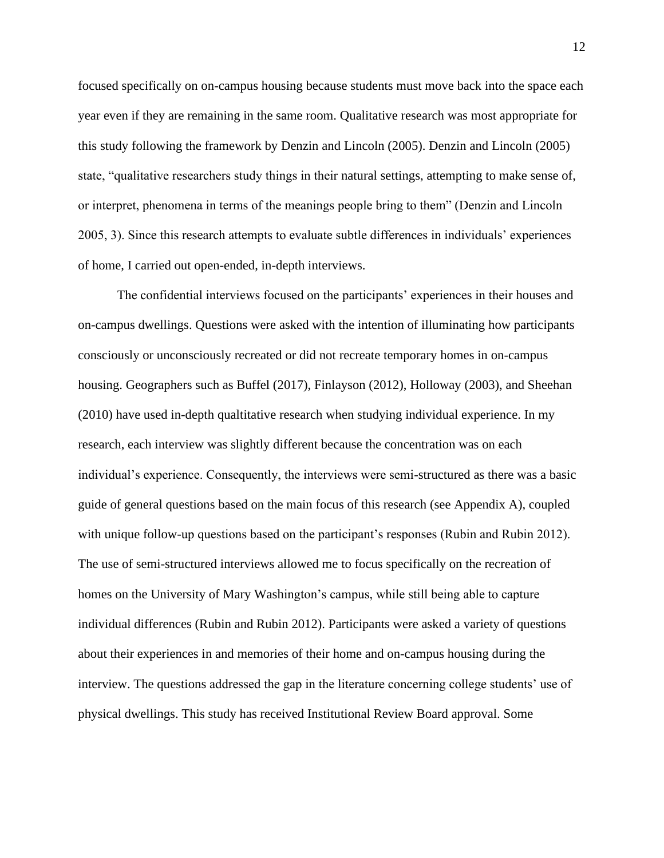focused specifically on on-campus housing because students must move back into the space each year even if they are remaining in the same room. Qualitative research was most appropriate for this study following the framework by Denzin and Lincoln (2005). Denzin and Lincoln (2005) state, "qualitative researchers study things in their natural settings, attempting to make sense of, or interpret, phenomena in terms of the meanings people bring to them" (Denzin and Lincoln 2005, 3). Since this research attempts to evaluate subtle differences in individuals' experiences of home, I carried out open-ended, in-depth interviews.

The confidential interviews focused on the participants' experiences in their houses and on-campus dwellings. Questions were asked with the intention of illuminating how participants consciously or unconsciously recreated or did not recreate temporary homes in on-campus housing. Geographers such as Buffel (2017), Finlayson (2012), Holloway (2003), and Sheehan (2010) have used in-depth qualtitative research when studying individual experience. In my research, each interview was slightly different because the concentration was on each individual's experience. Consequently, the interviews were semi-structured as there was a basic guide of general questions based on the main focus of this research (see Appendix A), coupled with unique follow-up questions based on the participant's responses (Rubin and Rubin 2012). The use of semi-structured interviews allowed me to focus specifically on the recreation of homes on the University of Mary Washington's campus, while still being able to capture individual differences (Rubin and Rubin 2012). Participants were asked a variety of questions about their experiences in and memories of their home and on-campus housing during the interview. The questions addressed the gap in the literature concerning college students' use of physical dwellings. This study has received Institutional Review Board approval. Some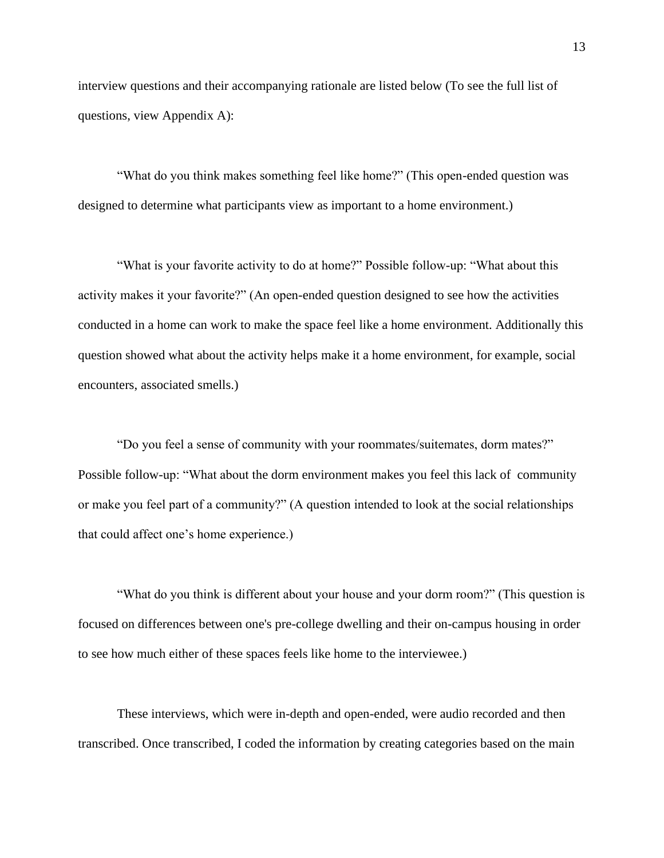interview questions and their accompanying rationale are listed below (To see the full list of questions, view Appendix A):

 "What do you think makes something feel like home?" (This open-ended question was designed to determine what participants view as important to a home environment.)

 "What is your favorite activity to do at home?" Possible follow-up: "What about this activity makes it your favorite?" (An open-ended question designed to see how the activities conducted in a home can work to make the space feel like a home environment. Additionally this question showed what about the activity helps make it a home environment, for example, social encounters, associated smells.)

 "Do you feel a sense of community with your roommates/suitemates, dorm mates?" Possible follow-up: "What about the dorm environment makes you feel this lack of community or make you feel part of a community?" (A question intended to look at the social relationships that could affect one's home experience.)

 "What do you think is different about your house and your dorm room?" (This question is focused on differences between one's pre-college dwelling and their on-campus housing in order to see how much either of these spaces feels like home to the interviewee.)

These interviews, which were in-depth and open-ended, were audio recorded and then transcribed. Once transcribed, I coded the information by creating categories based on the main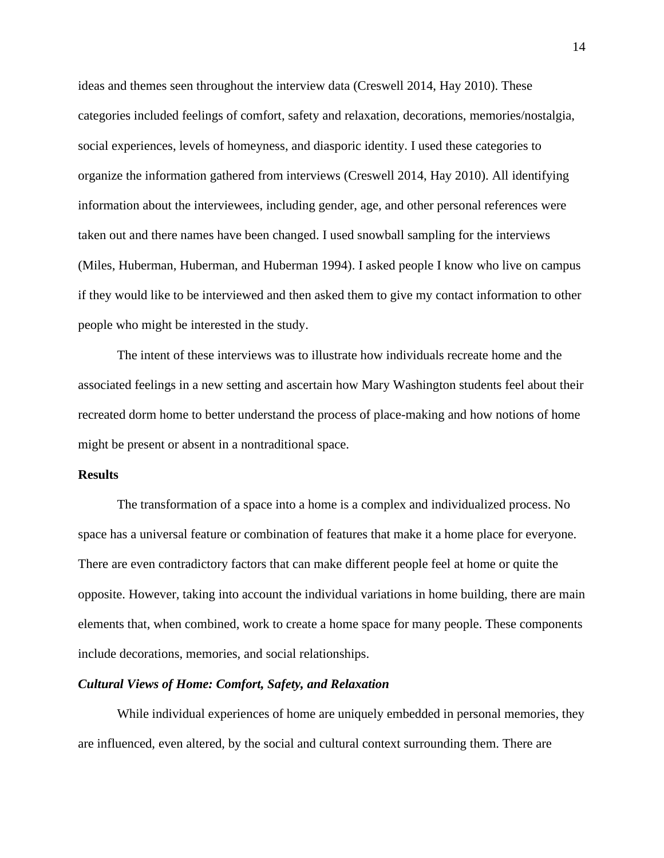ideas and themes seen throughout the interview data (Creswell 2014, Hay 2010). These categories included feelings of comfort, safety and relaxation, decorations, memories/nostalgia, social experiences, levels of homeyness, and diasporic identity. I used these categories to organize the information gathered from interviews (Creswell 2014, Hay 2010). All identifying information about the interviewees, including gender, age, and other personal references were taken out and there names have been changed. I used snowball sampling for the interviews (Miles, Huberman, Huberman, and Huberman 1994). I asked people I know who live on campus if they would like to be interviewed and then asked them to give my contact information to other people who might be interested in the study.

The intent of these interviews was to illustrate how individuals recreate home and the associated feelings in a new setting and ascertain how Mary Washington students feel about their recreated dorm home to better understand the process of place-making and how notions of home might be present or absent in a nontraditional space.

#### **Results**

The transformation of a space into a home is a complex and individualized process. No space has a universal feature or combination of features that make it a home place for everyone. There are even contradictory factors that can make different people feel at home or quite the opposite. However, taking into account the individual variations in home building, there are main elements that, when combined, work to create a home space for many people. These components include decorations, memories, and social relationships.

#### *Cultural Views of Home: Comfort, Safety, and Relaxation*

While individual experiences of home are uniquely embedded in personal memories, they are influenced, even altered, by the social and cultural context surrounding them. There are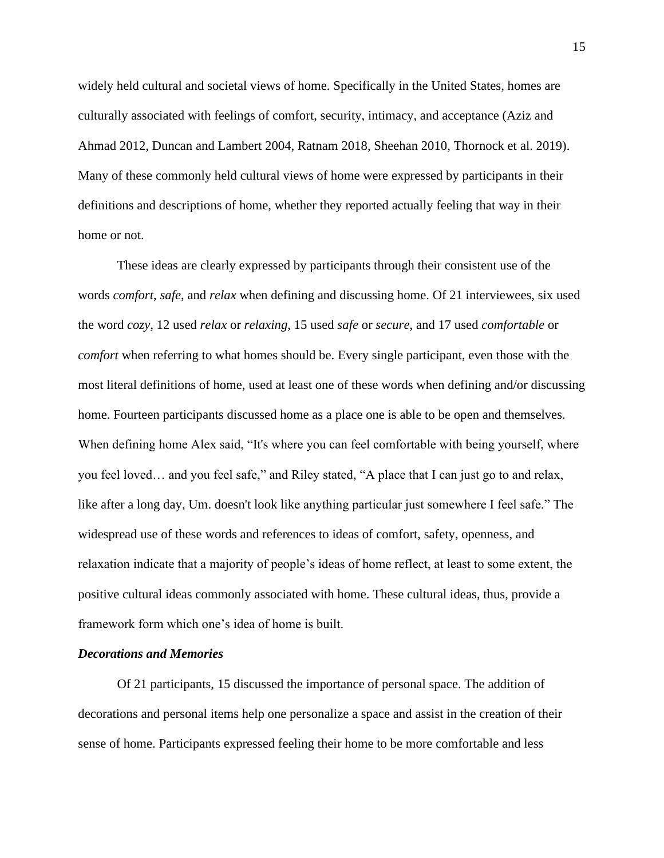widely held cultural and societal views of home. Specifically in the United States, homes are culturally associated with feelings of comfort, security, intimacy, and acceptance (Aziz and Ahmad 2012, Duncan and Lambert 2004, Ratnam 2018, Sheehan 2010, Thornock et al. 2019). Many of these commonly held cultural views of home were expressed by participants in their definitions and descriptions of home, whether they reported actually feeling that way in their home or not.

These ideas are clearly expressed by participants through their consistent use of the words *comfort*, *safe*, and *relax* when defining and discussing home. Of 21 interviewees, six used the word *cozy*, 12 used *relax* or *relaxing*, 15 used *safe* or *secure*, and 17 used *comfortable* or *comfort* when referring to what homes should be. Every single participant, even those with the most literal definitions of home, used at least one of these words when defining and/or discussing home. Fourteen participants discussed home as a place one is able to be open and themselves. When defining home Alex said, "It's where you can feel comfortable with being yourself, where you feel loved… and you feel safe," and Riley stated, "A place that I can just go to and relax, like after a long day, Um. doesn't look like anything particular just somewhere I feel safe." The widespread use of these words and references to ideas of comfort, safety, openness, and relaxation indicate that a majority of people's ideas of home reflect, at least to some extent, the positive cultural ideas commonly associated with home. These cultural ideas, thus, provide a framework form which one's idea of home is built.

#### *Decorations and Memories*

Of 21 participants, 15 discussed the importance of personal space. The addition of decorations and personal items help one personalize a space and assist in the creation of their sense of home. Participants expressed feeling their home to be more comfortable and less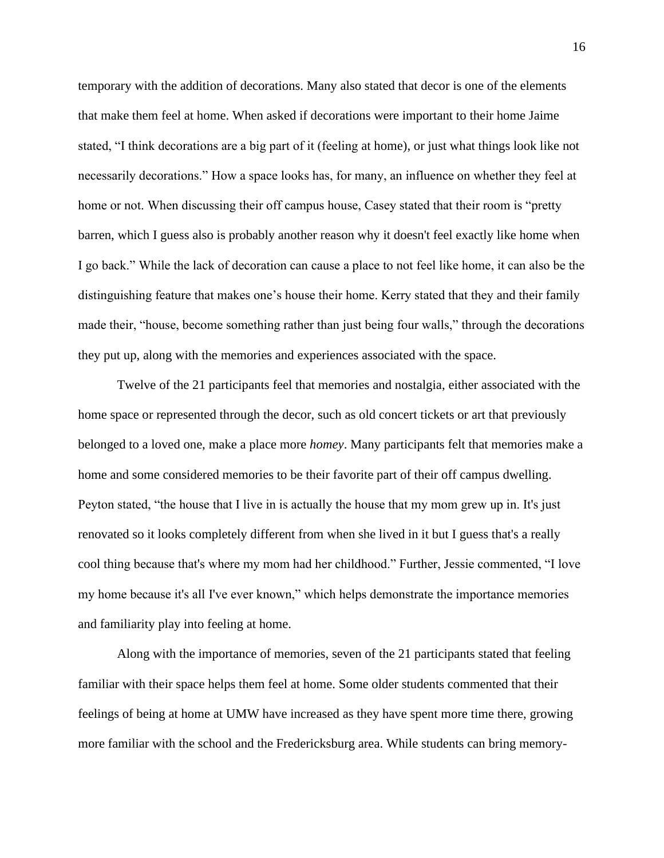temporary with the addition of decorations. Many also stated that decor is one of the elements that make them feel at home. When asked if decorations were important to their home Jaime stated, "I think decorations are a big part of it (feeling at home), or just what things look like not necessarily decorations." How a space looks has, for many, an influence on whether they feel at home or not. When discussing their off campus house, Casey stated that their room is "pretty barren, which I guess also is probably another reason why it doesn't feel exactly like home when I go back." While the lack of decoration can cause a place to not feel like home, it can also be the distinguishing feature that makes one's house their home. Kerry stated that they and their family made their, "house, become something rather than just being four walls," through the decorations they put up, along with the memories and experiences associated with the space.

Twelve of the 21 participants feel that memories and nostalgia, either associated with the home space or represented through the decor, such as old concert tickets or art that previously belonged to a loved one, make a place more *homey*. Many participants felt that memories make a home and some considered memories to be their favorite part of their off campus dwelling. Peyton stated, "the house that I live in is actually the house that my mom grew up in. It's just renovated so it looks completely different from when she lived in it but I guess that's a really cool thing because that's where my mom had her childhood." Further, Jessie commented, "I love my home because it's all I've ever known," which helps demonstrate the importance memories and familiarity play into feeling at home.

Along with the importance of memories, seven of the 21 participants stated that feeling familiar with their space helps them feel at home. Some older students commented that their feelings of being at home at UMW have increased as they have spent more time there, growing more familiar with the school and the Fredericksburg area. While students can bring memory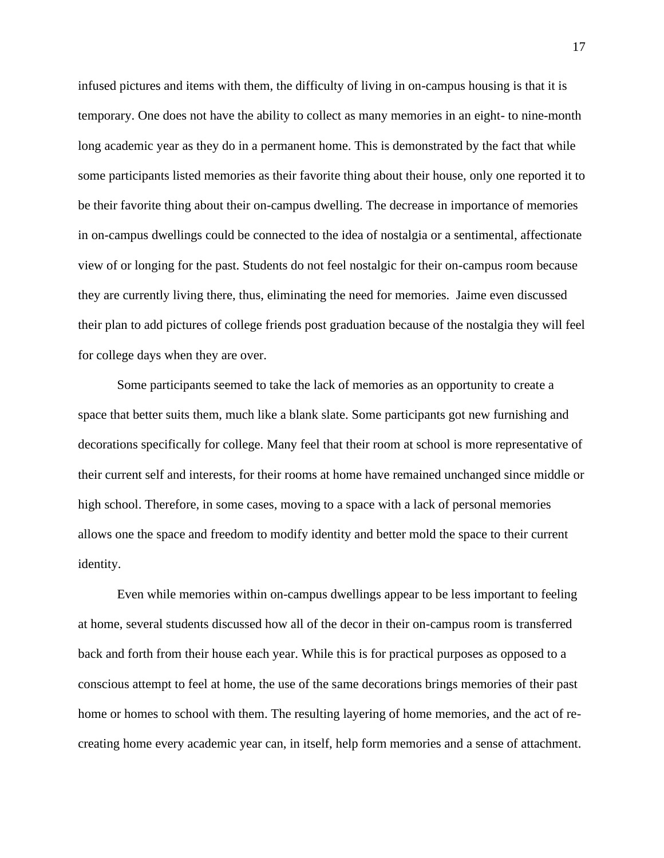infused pictures and items with them, the difficulty of living in on-campus housing is that it is temporary. One does not have the ability to collect as many memories in an eight- to nine-month long academic year as they do in a permanent home. This is demonstrated by the fact that while some participants listed memories as their favorite thing about their house, only one reported it to be their favorite thing about their on-campus dwelling. The decrease in importance of memories in on-campus dwellings could be connected to the idea of nostalgia or a sentimental, affectionate view of or longing for the past. Students do not feel nostalgic for their on-campus room because they are currently living there, thus, eliminating the need for memories. Jaime even discussed their plan to add pictures of college friends post graduation because of the nostalgia they will feel for college days when they are over.

Some participants seemed to take the lack of memories as an opportunity to create a space that better suits them, much like a blank slate. Some participants got new furnishing and decorations specifically for college. Many feel that their room at school is more representative of their current self and interests, for their rooms at home have remained unchanged since middle or high school. Therefore, in some cases, moving to a space with a lack of personal memories allows one the space and freedom to modify identity and better mold the space to their current identity.

Even while memories within on-campus dwellings appear to be less important to feeling at home, several students discussed how all of the decor in their on-campus room is transferred back and forth from their house each year. While this is for practical purposes as opposed to a conscious attempt to feel at home, the use of the same decorations brings memories of their past home or homes to school with them. The resulting layering of home memories, and the act of recreating home every academic year can, in itself, help form memories and a sense of attachment.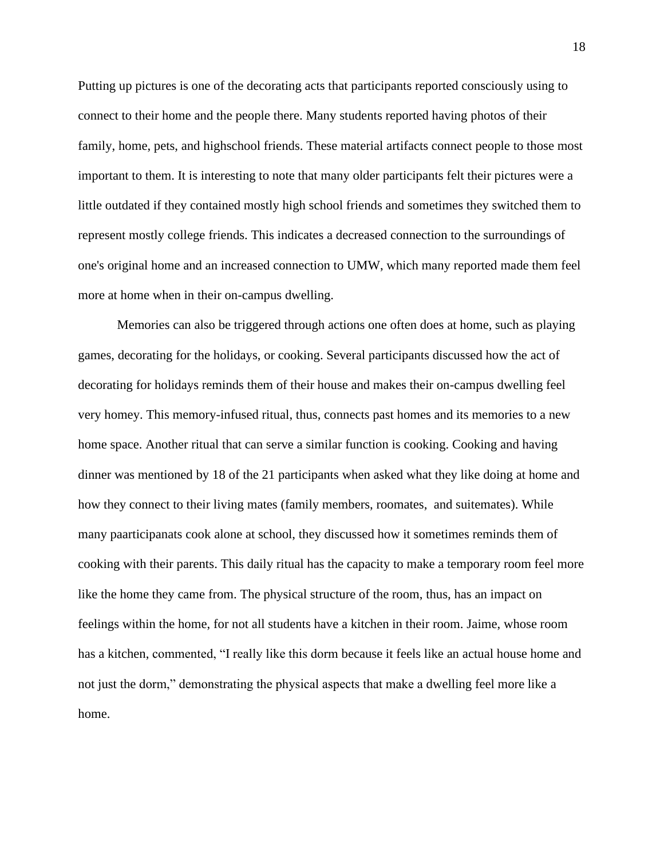Putting up pictures is one of the decorating acts that participants reported consciously using to connect to their home and the people there. Many students reported having photos of their family, home, pets, and highschool friends. These material artifacts connect people to those most important to them. It is interesting to note that many older participants felt their pictures were a little outdated if they contained mostly high school friends and sometimes they switched them to represent mostly college friends. This indicates a decreased connection to the surroundings of one's original home and an increased connection to UMW, which many reported made them feel more at home when in their on-campus dwelling.

Memories can also be triggered through actions one often does at home, such as playing games, decorating for the holidays, or cooking. Several participants discussed how the act of decorating for holidays reminds them of their house and makes their on-campus dwelling feel very homey. This memory-infused ritual, thus, connects past homes and its memories to a new home space. Another ritual that can serve a similar function is cooking. Cooking and having dinner was mentioned by 18 of the 21 participants when asked what they like doing at home and how they connect to their living mates (family members, roomates, and suitemates). While many paarticipanats cook alone at school, they discussed how it sometimes reminds them of cooking with their parents. This daily ritual has the capacity to make a temporary room feel more like the home they came from. The physical structure of the room, thus, has an impact on feelings within the home, for not all students have a kitchen in their room. Jaime, whose room has a kitchen, commented, "I really like this dorm because it feels like an actual house home and not just the dorm," demonstrating the physical aspects that make a dwelling feel more like a home.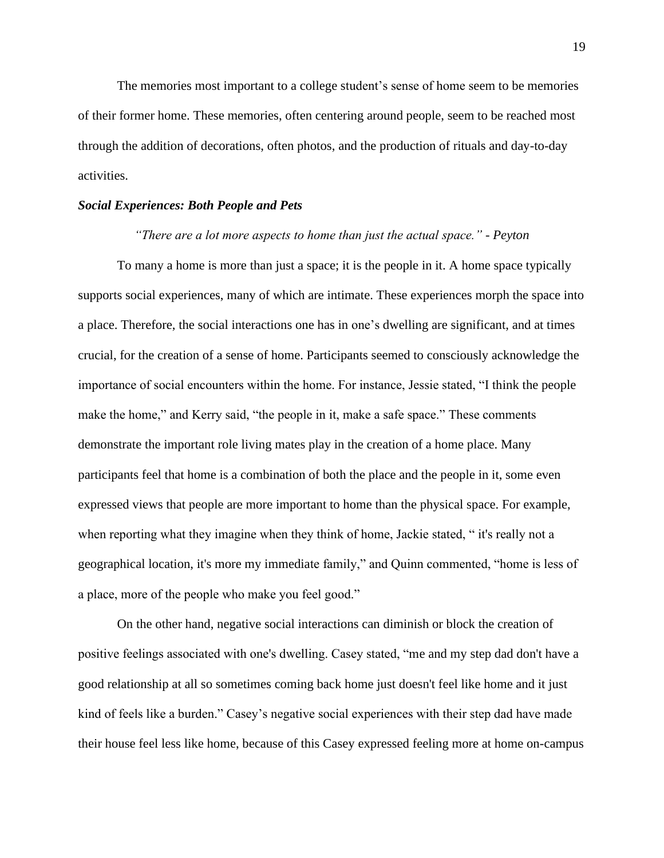The memories most important to a college student's sense of home seem to be memories of their former home. These memories, often centering around people, seem to be reached most through the addition of decorations, often photos, and the production of rituals and day-to-day activities.

#### *Social Experiences: Both People and Pets*

#### *"There are a lot more aspects to home than just the actual space." - Peyton*

To many a home is more than just a space; it is the people in it. A home space typically supports social experiences, many of which are intimate. These experiences morph the space into a place. Therefore, the social interactions one has in one's dwelling are significant, and at times crucial, for the creation of a sense of home. Participants seemed to consciously acknowledge the importance of social encounters within the home. For instance, Jessie stated, "I think the people make the home," and Kerry said, "the people in it, make a safe space." These comments demonstrate the important role living mates play in the creation of a home place. Many participants feel that home is a combination of both the place and the people in it, some even expressed views that people are more important to home than the physical space. For example, when reporting what they imagine when they think of home, Jackie stated, " it's really not a geographical location, it's more my immediate family," and Quinn commented, "home is less of a place, more of the people who make you feel good."

On the other hand, negative social interactions can diminish or block the creation of positive feelings associated with one's dwelling. Casey stated, "me and my step dad don't have a good relationship at all so sometimes coming back home just doesn't feel like home and it just kind of feels like a burden." Casey's negative social experiences with their step dad have made their house feel less like home, because of this Casey expressed feeling more at home on-campus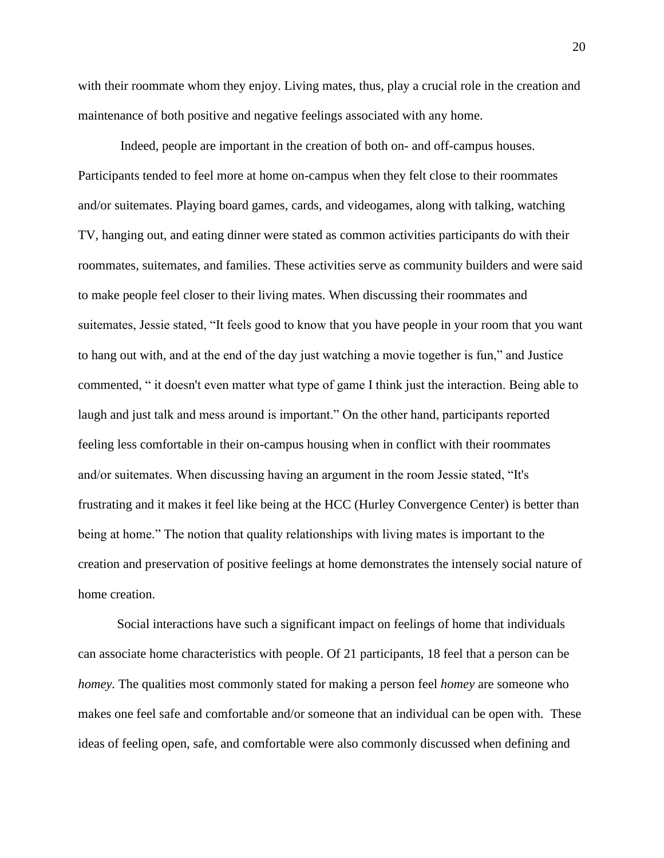with their roommate whom they enjoy. Living mates, thus, play a crucial role in the creation and maintenance of both positive and negative feelings associated with any home.

Indeed, people are important in the creation of both on- and off-campus houses. Participants tended to feel more at home on-campus when they felt close to their roommates and/or suitemates. Playing board games, cards, and videogames, along with talking, watching TV, hanging out, and eating dinner were stated as common activities participants do with their roommates, suitemates, and families. These activities serve as community builders and were said to make people feel closer to their living mates. When discussing their roommates and suitemates, Jessie stated, "It feels good to know that you have people in your room that you want to hang out with, and at the end of the day just watching a movie together is fun," and Justice commented, " it doesn't even matter what type of game I think just the interaction. Being able to laugh and just talk and mess around is important." On the other hand, participants reported feeling less comfortable in their on-campus housing when in conflict with their roommates and/or suitemates. When discussing having an argument in the room Jessie stated, "It's frustrating and it makes it feel like being at the HCC (Hurley Convergence Center) is better than being at home." The notion that quality relationships with living mates is important to the creation and preservation of positive feelings at home demonstrates the intensely social nature of home creation.

Social interactions have such a significant impact on feelings of home that individuals can associate home characteristics with people. Of 21 participants, 18 feel that a person can be *homey*. The qualities most commonly stated for making a person feel *homey* are someone who makes one feel safe and comfortable and/or someone that an individual can be open with. These ideas of feeling open, safe, and comfortable were also commonly discussed when defining and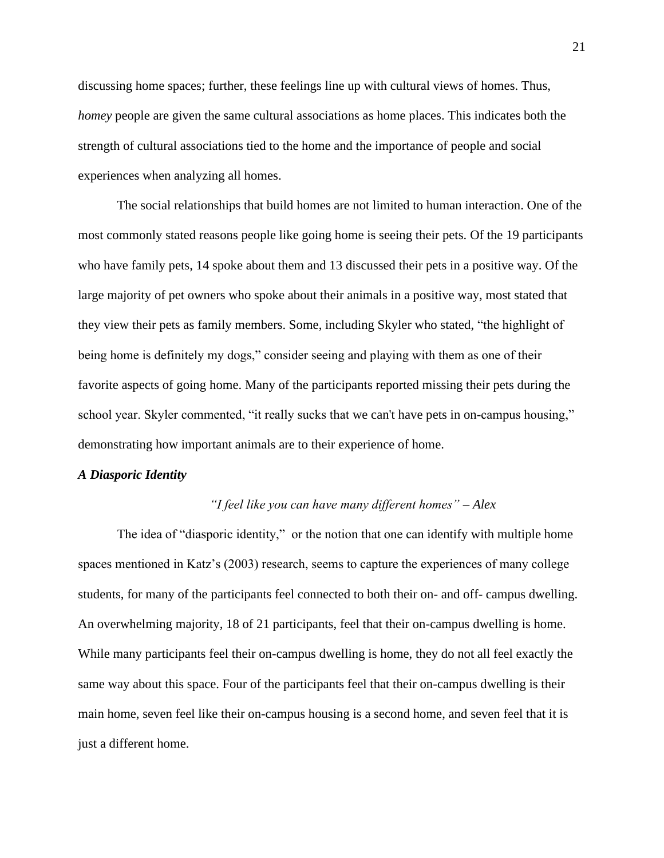discussing home spaces; further, these feelings line up with cultural views of homes. Thus, *homey* people are given the same cultural associations as home places. This indicates both the strength of cultural associations tied to the home and the importance of people and social experiences when analyzing all homes.

The social relationships that build homes are not limited to human interaction. One of the most commonly stated reasons people like going home is seeing their pets. Of the 19 participants who have family pets, 14 spoke about them and 13 discussed their pets in a positive way. Of the large majority of pet owners who spoke about their animals in a positive way, most stated that they view their pets as family members. Some, including Skyler who stated, "the highlight of being home is definitely my dogs," consider seeing and playing with them as one of their favorite aspects of going home. Many of the participants reported missing their pets during the school year. Skyler commented, "it really sucks that we can't have pets in on-campus housing," demonstrating how important animals are to their experience of home.

#### *A Diasporic Identity*

#### *"I feel like you can have many different homes" – Alex*

The idea of "diasporic identity," or the notion that one can identify with multiple home spaces mentioned in Katz's (2003) research, seems to capture the experiences of many college students, for many of the participants feel connected to both their on- and off- campus dwelling. An overwhelming majority, 18 of 21 participants, feel that their on-campus dwelling is home. While many participants feel their on-campus dwelling is home, they do not all feel exactly the same way about this space. Four of the participants feel that their on-campus dwelling is their main home, seven feel like their on-campus housing is a second home, and seven feel that it is just a different home.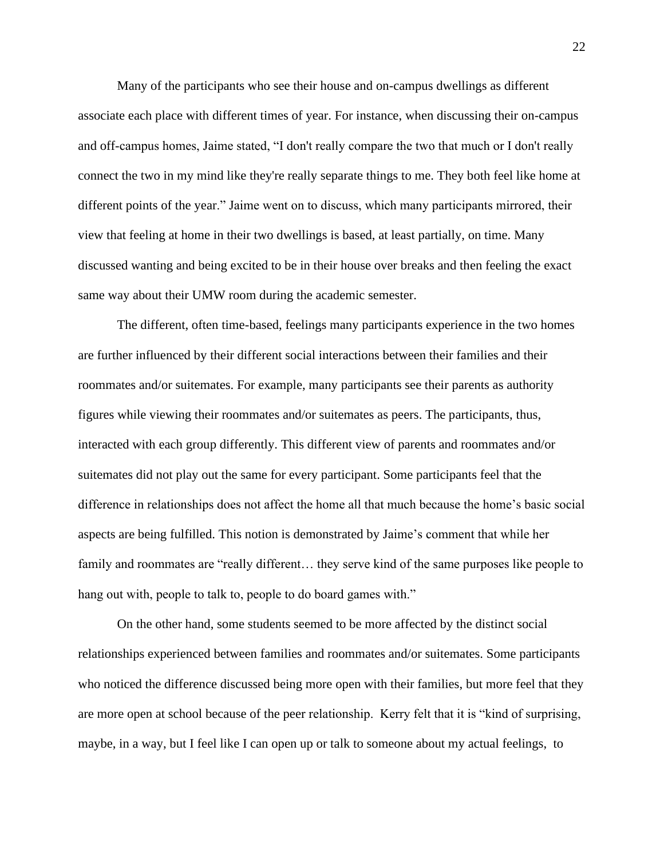Many of the participants who see their house and on-campus dwellings as different associate each place with different times of year. For instance, when discussing their on-campus and off-campus homes, Jaime stated, "I don't really compare the two that much or I don't really connect the two in my mind like they're really separate things to me. They both feel like home at different points of the year." Jaime went on to discuss, which many participants mirrored, their view that feeling at home in their two dwellings is based, at least partially, on time. Many discussed wanting and being excited to be in their house over breaks and then feeling the exact same way about their UMW room during the academic semester.

The different, often time-based, feelings many participants experience in the two homes are further influenced by their different social interactions between their families and their roommates and/or suitemates. For example, many participants see their parents as authority figures while viewing their roommates and/or suitemates as peers. The participants, thus, interacted with each group differently. This different view of parents and roommates and/or suitemates did not play out the same for every participant. Some participants feel that the difference in relationships does not affect the home all that much because the home's basic social aspects are being fulfilled. This notion is demonstrated by Jaime's comment that while her family and roommates are "really different… they serve kind of the same purposes like people to hang out with, people to talk to, people to do board games with."

On the other hand, some students seemed to be more affected by the distinct social relationships experienced between families and roommates and/or suitemates. Some participants who noticed the difference discussed being more open with their families, but more feel that they are more open at school because of the peer relationship. Kerry felt that it is "kind of surprising, maybe, in a way, but I feel like I can open up or talk to someone about my actual feelings, to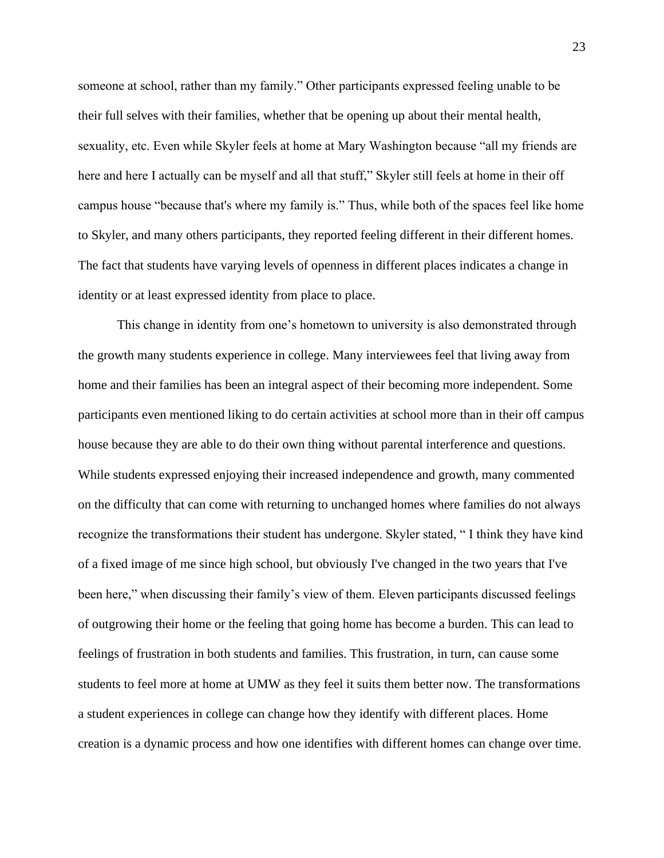someone at school, rather than my family." Other participants expressed feeling unable to be their full selves with their families, whether that be opening up about their mental health, sexuality, etc. Even while Skyler feels at home at Mary Washington because "all my friends are here and here I actually can be myself and all that stuff," Skyler still feels at home in their off campus house "because that's where my family is." Thus, while both of the spaces feel like home to Skyler, and many others participants, they reported feeling different in their different homes. The fact that students have varying levels of openness in different places indicates a change in identity or at least expressed identity from place to place.

This change in identity from one's hometown to university is also demonstrated through the growth many students experience in college. Many interviewees feel that living away from home and their families has been an integral aspect of their becoming more independent. Some participants even mentioned liking to do certain activities at school more than in their off campus house because they are able to do their own thing without parental interference and questions. While students expressed enjoying their increased independence and growth, many commented on the difficulty that can come with returning to unchanged homes where families do not always recognize the transformations their student has undergone. Skyler stated, " I think they have kind of a fixed image of me since high school, but obviously I've changed in the two years that I've been here," when discussing their family's view of them. Eleven participants discussed feelings of outgrowing their home or the feeling that going home has become a burden. This can lead to feelings of frustration in both students and families. This frustration, in turn, can cause some students to feel more at home at UMW as they feel it suits them better now. The transformations a student experiences in college can change how they identify with different places. Home creation is a dynamic process and how one identifies with different homes can change over time.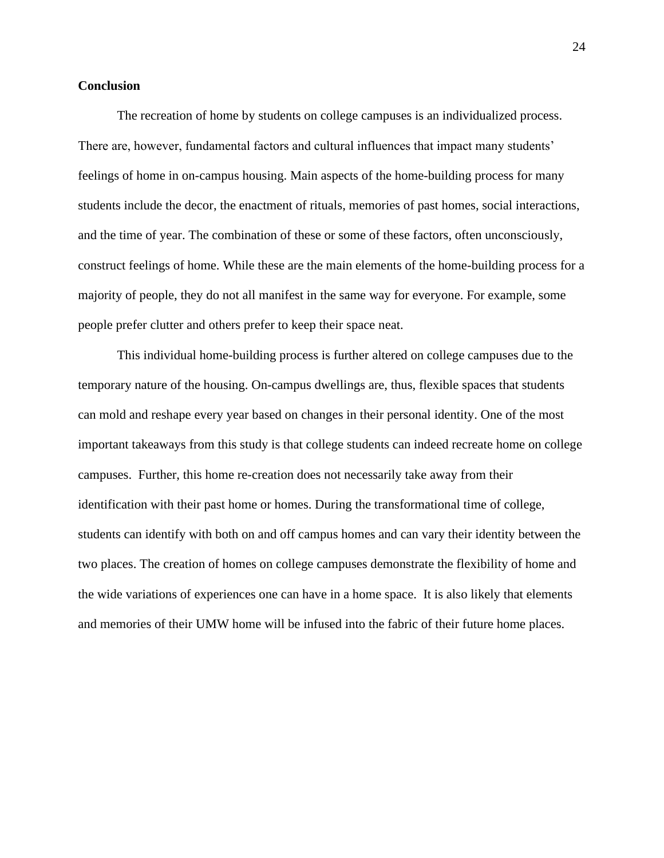#### **Conclusion**

The recreation of home by students on college campuses is an individualized process. There are, however, fundamental factors and cultural influences that impact many students' feelings of home in on-campus housing. Main aspects of the home-building process for many students include the decor, the enactment of rituals, memories of past homes, social interactions, and the time of year. The combination of these or some of these factors, often unconsciously, construct feelings of home. While these are the main elements of the home-building process for a majority of people, they do not all manifest in the same way for everyone. For example, some people prefer clutter and others prefer to keep their space neat.

This individual home-building process is further altered on college campuses due to the temporary nature of the housing. On-campus dwellings are, thus, flexible spaces that students can mold and reshape every year based on changes in their personal identity. One of the most important takeaways from this study is that college students can indeed recreate home on college campuses. Further, this home re-creation does not necessarily take away from their identification with their past home or homes. During the transformational time of college, students can identify with both on and off campus homes and can vary their identity between the two places. The creation of homes on college campuses demonstrate the flexibility of home and the wide variations of experiences one can have in a home space. It is also likely that elements and memories of their UMW home will be infused into the fabric of their future home places.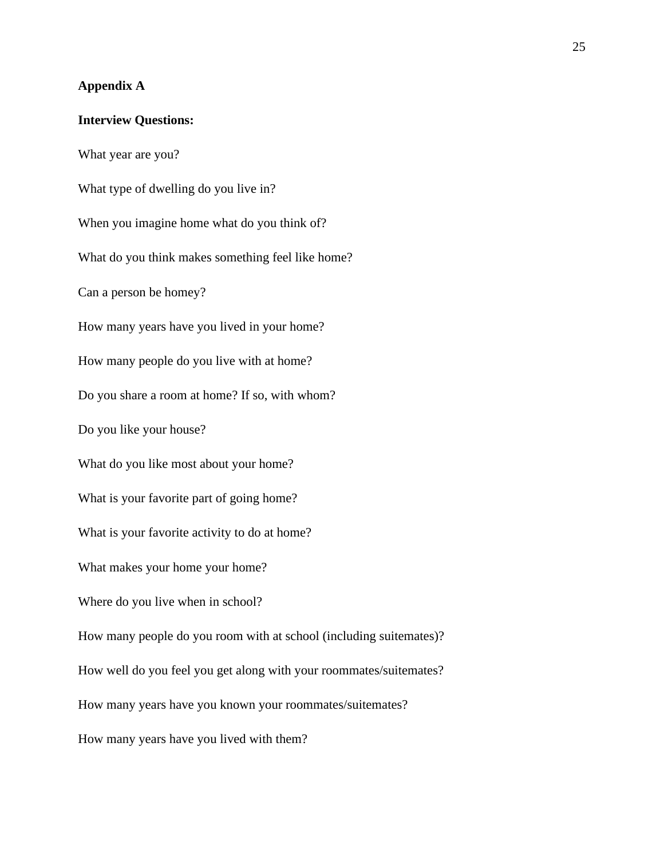# **Appendix A**

# **Interview Questions:**

What year are you? What type of dwelling do you live in? When you imagine home what do you think of? What do you think makes something feel like home? Can a person be homey? How many years have you lived in your home? How many people do you live with at home? Do you share a room at home? If so, with whom? Do you like your house? What do you like most about your home? What is your favorite part of going home? What is your favorite activity to do at home? What makes your home your home? Where do you live when in school? How many people do you room with at school (including suitemates)? How well do you feel you get along with your roommates/suitemates? How many years have you known your roommates/suitemates? How many years have you lived with them?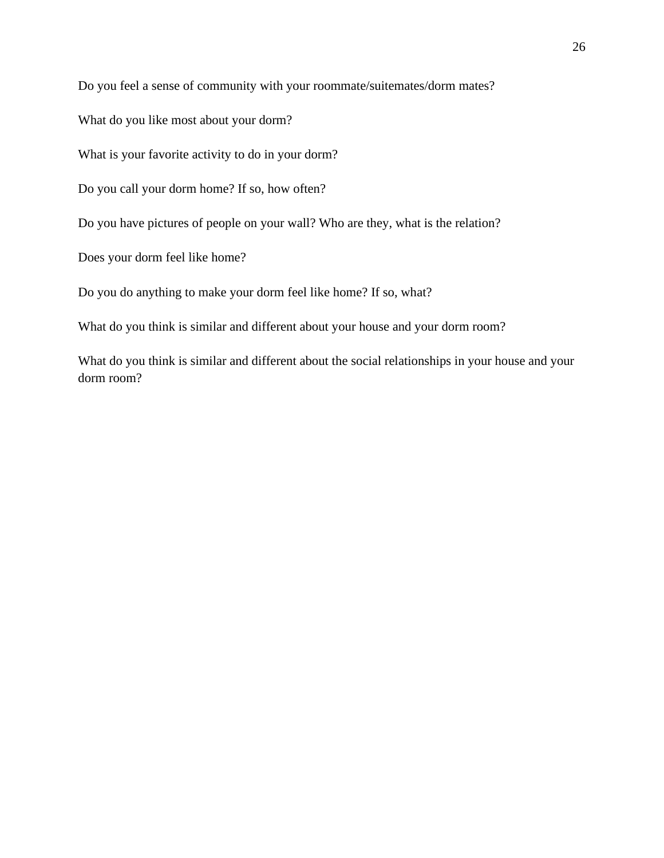Do you feel a sense of community with your roommate/suitemates/dorm mates?

What do you like most about your dorm?

What is your favorite activity to do in your dorm?

Do you call your dorm home? If so, how often?

Do you have pictures of people on your wall? Who are they, what is the relation?

Does your dorm feel like home?

Do you do anything to make your dorm feel like home? If so, what?

What do you think is similar and different about your house and your dorm room?

What do you think is similar and different about the social relationships in your house and your dorm room?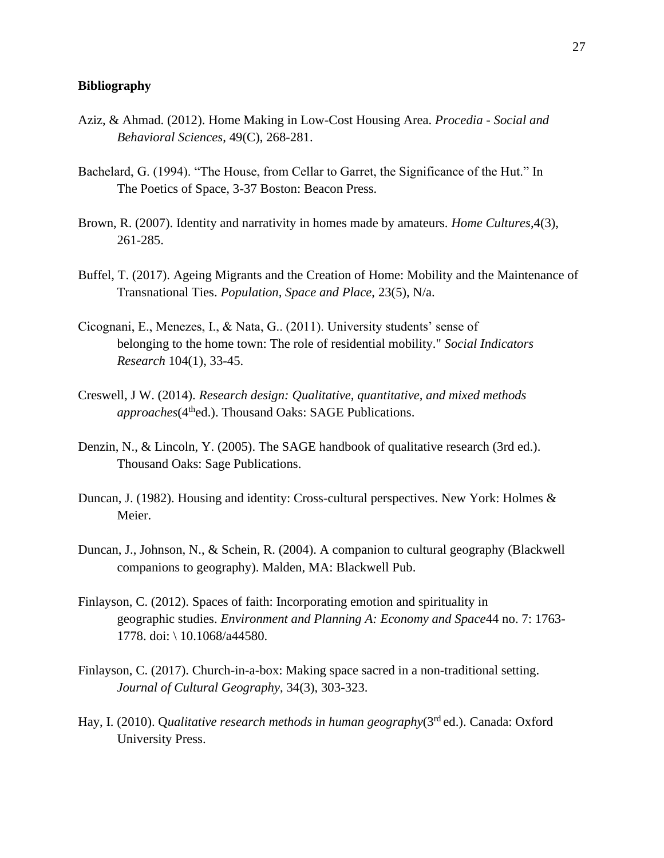### **Bibliography**

- Aziz, & Ahmad. (2012). Home Making in Low-Cost Housing Area. *Procedia - Social and Behavioral Sciences*, 49(C), 268-281.
- Bachelard, G. (1994). "The House, from Cellar to Garret, the Significance of the Hut." In The Poetics of Space, 3-37 Boston: Beacon Press.
- Brown, R. (2007). Identity and narrativity in homes made by amateurs. *Home Cultures*,4(3), 261-285.
- Buffel, T. (2017). Ageing Migrants and the Creation of Home: Mobility and the Maintenance of Transnational Ties. *Population, Space and Place*, 23(5), N/a.
- Cicognani, E., Menezes, I., & Nata, G.. (2011). University students' sense of belonging to the home town: The role of residential mobility." *Social Indicators Research* 104(1), 33-45.
- Creswell, J W. (2014). *Research design: Qualitative, quantitative, and mixed methods approaches*(4thed.). Thousand Oaks: SAGE Publications.
- Denzin, N., & Lincoln, Y. (2005). The SAGE handbook of qualitative research (3rd ed.). Thousand Oaks: Sage Publications.
- Duncan, J. (1982). Housing and identity: Cross-cultural perspectives. New York: Holmes & Meier.
- Duncan, J., Johnson, N., & Schein, R. (2004). A companion to cultural geography (Blackwell companions to geography). Malden, MA: Blackwell Pub.
- Finlayson, C. (2012). Spaces of faith: Incorporating emotion and spirituality in geographic studies. *Environment and Planning A: Economy and Space*44 no. 7: 1763- 1778. doi: \ 10.1068/a44580.
- Finlayson, C. (2017). Church-in-a-box: Making space sacred in a non-traditional setting. *Journal of Cultural Geography*, 34(3), 303-323.
- Hay, I. (2010). Q*ualitative research methods in human geography*(3rd ed.). Canada: Oxford University Press.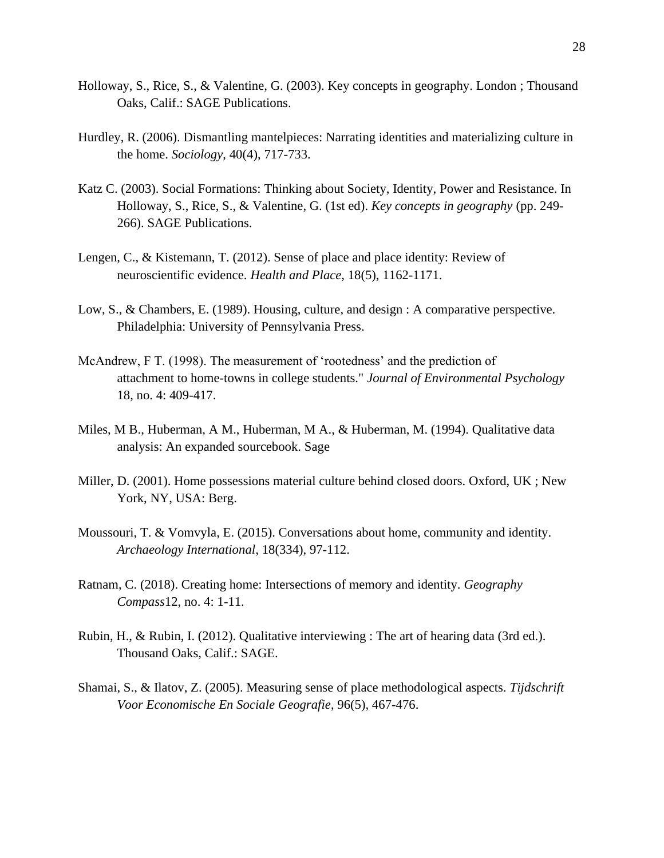- Holloway, S., Rice, S., & Valentine, G. (2003). Key concepts in geography. London ; Thousand Oaks, Calif.: SAGE Publications.
- Hurdley, R. (2006). Dismantling mantelpieces: Narrating identities and materializing culture in the home. *Sociology*, 40(4), 717-733.
- Katz C. (2003). Social Formations: Thinking about Society, Identity, Power and Resistance. In Holloway, S., Rice, S., & Valentine, G. (1st ed). *Key concepts in geography* (pp. 249- 266). SAGE Publications.
- Lengen, C., & Kistemann, T. (2012). Sense of place and place identity: Review of neuroscientific evidence. *Health and Place*, 18(5), 1162-1171.
- Low, S., & Chambers, E. (1989). Housing, culture, and design : A comparative perspective. Philadelphia: University of Pennsylvania Press.
- McAndrew, F T. (1998). The measurement of 'rootedness' and the prediction of attachment to home-towns in college students." *Journal of Environmental Psychology* 18, no. 4: 409-417.
- Miles, M B., Huberman, A M., Huberman, M A., & Huberman, M. (1994). Qualitative data analysis: An expanded sourcebook. Sage
- Miller, D. (2001). Home possessions material culture behind closed doors. Oxford, UK ; New York, NY, USA: Berg.
- Moussouri, T. & Vomvyla, E. (2015). Conversations about home, community and identity. *Archaeology International*, 18(334), 97-112.
- Ratnam, C. (2018). Creating home: Intersections of memory and identity. *Geography Compass*12, no. 4: 1-11.
- Rubin, H., & Rubin, I. (2012). Qualitative interviewing : The art of hearing data (3rd ed.). Thousand Oaks, Calif.: SAGE.
- Shamai, S., & Ilatov, Z. (2005). Measuring sense of place methodological aspects. *Tijdschrift Voor Economische En Sociale Geografie*, 96(5), 467-476.